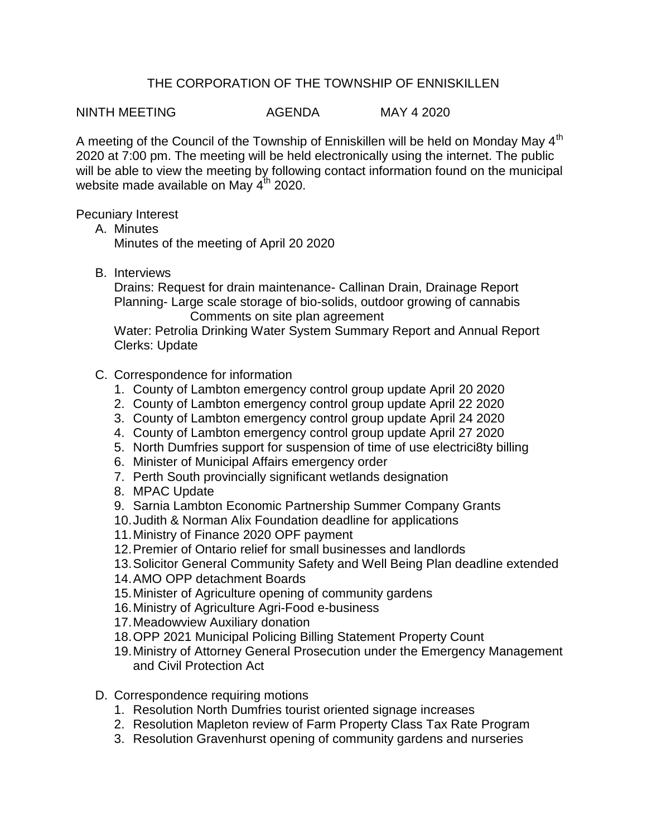## THE CORPORATION OF THE TOWNSHIP OF ENNISKILLEN

NINTH MEETING AGENDA MAY 4 2020

A meeting of the Council of the Township of Enniskillen will be held on Monday May 4<sup>th</sup> 2020 at 7:00 pm. The meeting will be held electronically using the internet. The public will be able to view the meeting by following contact information found on the municipal website made available on May 4<sup>th</sup> 2020.

Pecuniary Interest

A. Minutes

Minutes of the meeting of April 20 2020

B. Interviews

Drains: Request for drain maintenance- Callinan Drain, Drainage Report Planning- Large scale storage of bio-solids, outdoor growing of cannabis Comments on site plan agreement

Water: Petrolia Drinking Water System Summary Report and Annual Report Clerks: Update

- C. Correspondence for information
	- 1. County of Lambton emergency control group update April 20 2020
	- 2. County of Lambton emergency control group update April 22 2020
	- 3. County of Lambton emergency control group update April 24 2020
	- 4. County of Lambton emergency control group update April 27 2020
	- 5. North Dumfries support for suspension of time of use electrici8ty billing
	- 6. Minister of Municipal Affairs emergency order
	- 7. Perth South provincially significant wetlands designation
	- 8. MPAC Update
	- 9. Sarnia Lambton Economic Partnership Summer Company Grants
	- 10.Judith & Norman Alix Foundation deadline for applications
	- 11.Ministry of Finance 2020 OPF payment
	- 12.Premier of Ontario relief for small businesses and landlords
	- 13.Solicitor General Community Safety and Well Being Plan deadline extended
	- 14.AMO OPP detachment Boards
	- 15.Minister of Agriculture opening of community gardens
	- 16.Ministry of Agriculture Agri-Food e-business
	- 17.Meadowview Auxiliary donation
	- 18.OPP 2021 Municipal Policing Billing Statement Property Count
	- 19.Ministry of Attorney General Prosecution under the Emergency Management and Civil Protection Act
- D. Correspondence requiring motions
	- 1. Resolution North Dumfries tourist oriented signage increases
	- 2. Resolution Mapleton review of Farm Property Class Tax Rate Program
	- 3. Resolution Gravenhurst opening of community gardens and nurseries